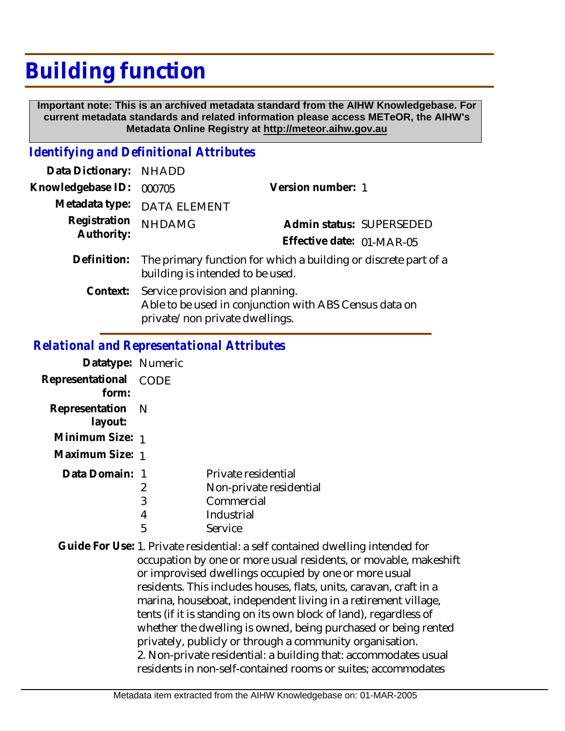## **Building function**

 **Important note: This is an archived metadata standard from the AIHW Knowledgebase. For current metadata standards and related information please access METeOR, the AIHW's Metadata Online Registry at http://meteor.aihw.gov.au**

## *Identifying and Definitional Attributes*

| Data Dictionary: NHADD     |                                                                                                     |                           |
|----------------------------|-----------------------------------------------------------------------------------------------------|---------------------------|
| Knowledgebase ID:          | 000705                                                                                              | Version number: 1         |
|                            | Metadata type: DATA ELEMENT                                                                         |                           |
| Registration<br>Authority: | <b>NHDAMG</b>                                                                                       | Admin status: SUPERSEDED  |
|                            |                                                                                                     | Effective date: 01-MAR-05 |
| Definition:                | The primary function for which a building or discrete part of a<br>building is intended to be used. |                           |
|                            | Context: Service provision and planning.<br>Able to be used in conjunction with ABS Census data on  |                           |

private/non private dwellings.

## *Relational and Representational Attributes*

| Datatype: Numeric              |   |                         |
|--------------------------------|---|-------------------------|
| Representational CODE<br>form: |   |                         |
| Representation N<br>layout:    |   |                         |
| Minimum Size: 1                |   |                         |
| Maximum Size: 1                |   |                         |
| Data Domain: 1                 |   | Private residential     |
|                                | 2 | Non-private residential |
|                                | 3 | Commercial              |
|                                | 4 | Industrial              |
|                                | 5 | Service                 |

Guide For Use: 1. Private residential: a self contained dwelling intended for occupation by one or more usual residents, or movable, makeshift or improvised dwellings occupied by one or more usual residents. This includes houses, flats, units, caravan, craft in a marina, houseboat, independent living in a retirement village, tents (if it is standing on its own block of land), regardless of whether the dwelling is owned, being purchased or being rented privately, publicly or through a community organisation. 2. Non-private residential: a building that: accommodates usual residents in non-self-contained rooms or suites; accommodates